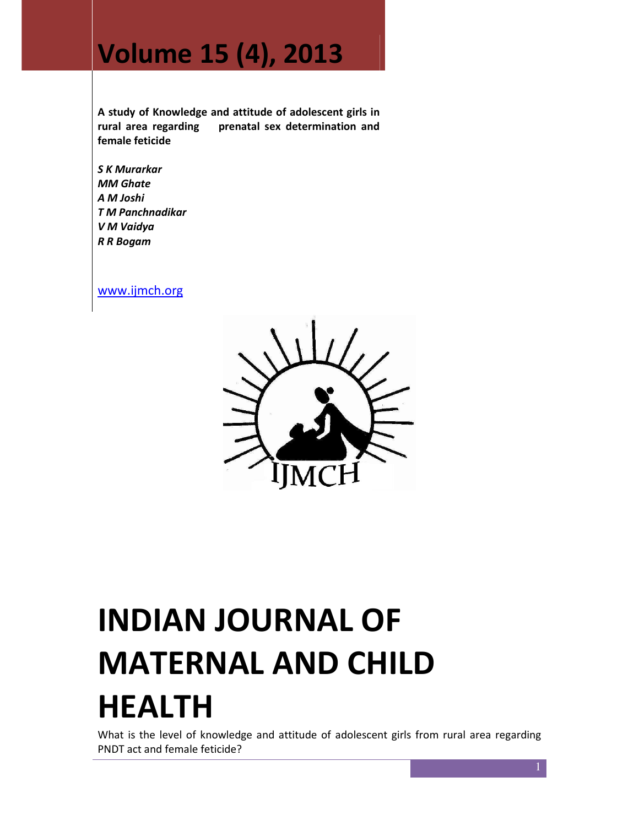## Volume 15 (4), 2013

A study of Knowledge and attitude of adolescent girls in rural area regarding prenatal sex determination and female feticide

S K Murarkar MM Ghate A M Joshi T M Panchnadikar V M Vaidya R R Bogam

www.ijmch.org



# INDIAN JOURNAL OF MATERNAL AND CHILD HEALTH

What is the level of knowledge and attitude of adolescent girls from rural area regarding PNDT act and female feticide?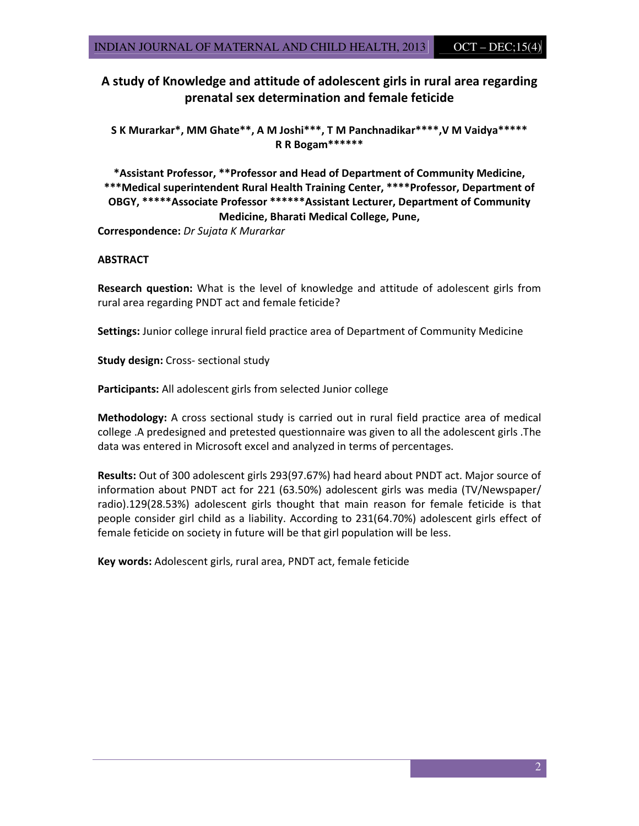#### A study of Knowledge and attitude of adolescent girls in rural area regarding prenatal sex determination and female feticide

S K Murarkar\*, MM Ghate\*\*, A M Joshi\*\*\*, T M Panchnadikar\*\*\*\*,V M Vaidya\*\*\*\*\* R R Bogam\*\*\*\*\*\*

\*Assistant Professor, \*\*Professor and Head of Department of Community Medicine, \*\*\*Medical superintendent Rural Health Training Center, \*\*\*\*Professor, Department of OBGY, \*\*\*\*\*Associate Professor \*\*\*\*\*\*Assistant Lecturer, Department of Community Medicine, Bharati Medical College, Pune,

Correspondence: Dr Sujata K Murarkar

#### **ABSTRACT**

Research question: What is the level of knowledge and attitude of adolescent girls from rural area regarding PNDT act and female feticide?

Settings: Junior college inrural field practice area of Department of Community Medicine

Study design: Cross- sectional study

Participants: All adolescent girls from selected Junior college

Methodology: A cross sectional study is carried out in rural field practice area of medical college .A predesigned and pretested questionnaire was given to all the adolescent girls .The data was entered in Microsoft excel and analyzed in terms of percentages.

Results: Out of 300 adolescent girls 293(97.67%) had heard about PNDT act. Major source of information about PNDT act for 221 (63.50%) adolescent girls was media (TV/Newspaper/ radio).129(28.53%) adolescent girls thought that main reason for female feticide is that people consider girl child as a liability. According to 231(64.70%) adolescent girls effect of female feticide on society in future will be that girl population will be less.

Key words: Adolescent girls, rural area, PNDT act, female feticide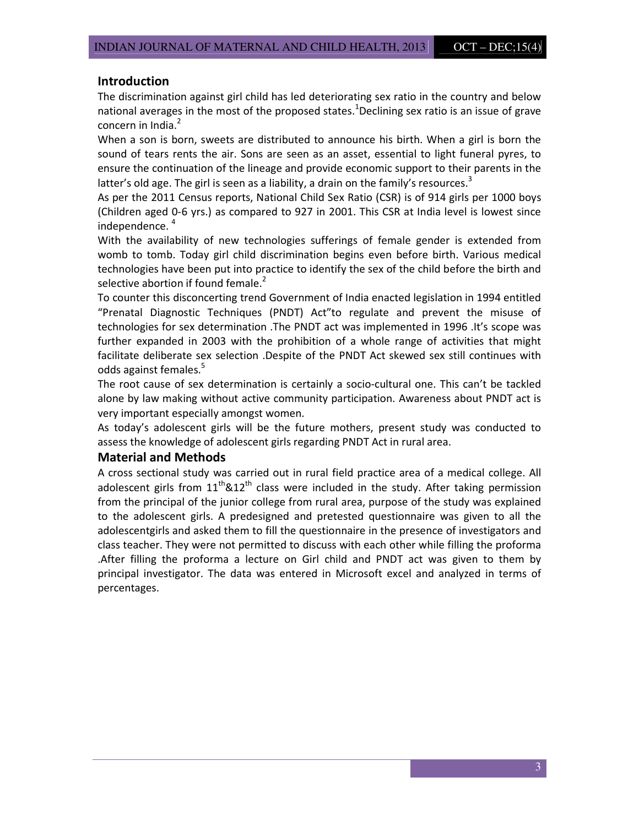#### Introduction

The discrimination against girl child has led deteriorating sex ratio in the country and below national averages in the most of the proposed states.<sup>1</sup>Declining sex ratio is an issue of grave concern in India.<sup>2</sup>

When a son is born, sweets are distributed to announce his birth. When a girl is born the sound of tears rents the air. Sons are seen as an asset, essential to light funeral pyres, to ensure the continuation of the lineage and provide economic support to their parents in the latter's old age. The girl is seen as a liability, a drain on the family's resources.<sup>3</sup>

As per the 2011 Census reports, National Child Sex Ratio (CSR) is of 914 girls per 1000 boys (Children aged 0-6 yrs.) as compared to 927 in 2001. This CSR at India level is lowest since independence. <sup>4</sup>

With the availability of new technologies sufferings of female gender is extended from womb to tomb. Today girl child discrimination begins even before birth. Various medical technologies have been put into practice to identify the sex of the child before the birth and selective abortion if found female.<sup>2</sup>

To counter this disconcerting trend Government of India enacted legislation in 1994 entitled "Prenatal Diagnostic Techniques (PNDT) Act"to regulate and prevent the misuse of technologies for sex determination .The PNDT act was implemented in 1996 .It's scope was further expanded in 2003 with the prohibition of a whole range of activities that might facilitate deliberate sex selection .Despite of the PNDT Act skewed sex still continues with odds against females.<sup>5</sup>

The root cause of sex determination is certainly a socio-cultural one. This can't be tackled alone by law making without active community participation. Awareness about PNDT act is very important especially amongst women.

As today's adolescent girls will be the future mothers, present study was conducted to assess the knowledge of adolescent girls regarding PNDT Act in rural area.

#### Material and Methods

A cross sectional study was carried out in rural field practice area of a medical college. All adolescent girls from  $11<sup>th</sup>$ &12<sup>th</sup> class were included in the study. After taking permission from the principal of the junior college from rural area, purpose of the study was explained to the adolescent girls. A predesigned and pretested questionnaire was given to all the adolescentgirls and asked them to fill the questionnaire in the presence of investigators and class teacher. They were not permitted to discuss with each other while filling the proforma .After filling the proforma a lecture on Girl child and PNDT act was given to them by principal investigator. The data was entered in Microsoft excel and analyzed in terms of percentages.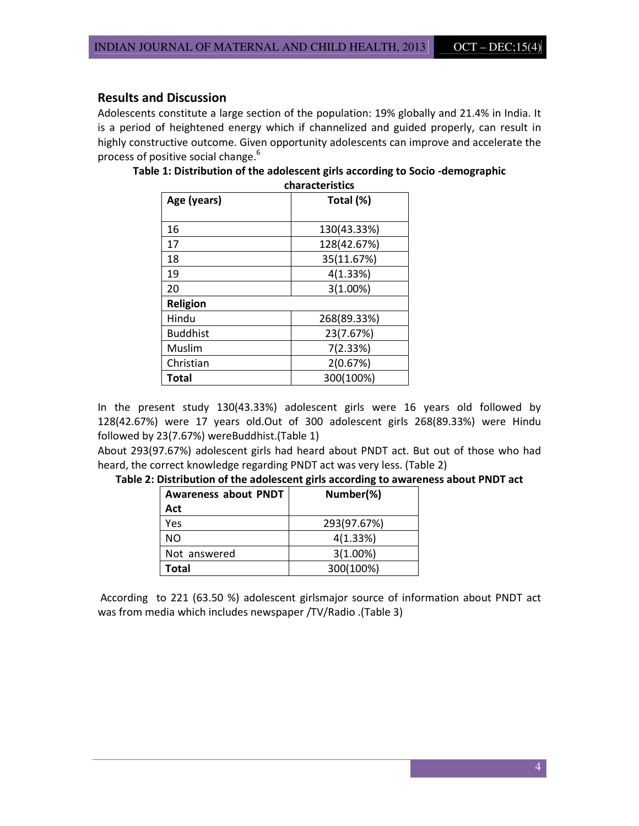#### Results and Discussion

Adolescents constitute a large section of the population: 19% globally and 21.4% in India. It is a period of heightened energy which if channelized and guided properly, can result in highly constructive outcome. Given opportunity adolescents can improve and accelerate the process of positive social change.<sup>6</sup>

| characteristics |             |
|-----------------|-------------|
| Age (years)     | Total (%)   |
|                 |             |
| 16              | 130(43.33%) |
| 17              | 128(42.67%) |
| 18              | 35(11.67%)  |
| 19              | 4(1.33%)    |
| 20              | 3(1.00%)    |
| <b>Religion</b> |             |
| Hindu           | 268(89.33%) |
| <b>Buddhist</b> | 23(7.67%)   |
| Muslim          | 7(2.33%)    |
| Christian       | 2(0.67%)    |
| Total           | 300(100%)   |

Table 1: Distribution of the adolescent girls according to Socio -demographic

In the present study 130(43.33%) adolescent girls were 16 years old followed by 128(42.67%) were 17 years old.Out of 300 adolescent girls 268(89.33%) were Hindu followed by 23(7.67%) wereBuddhist.(Table 1)

About 293(97.67%) adolescent girls had heard about PNDT act. But out of those who had heard, the correct knowledge regarding PNDT act was very less. (Table 2)

|  |  | Table 2: Distribution of the adolescent girls according to awareness about PNDT act |
|--|--|-------------------------------------------------------------------------------------|
|--|--|-------------------------------------------------------------------------------------|

| <b>Awareness about PNDT</b> | Number(%)   |
|-----------------------------|-------------|
| Act                         |             |
| Yes                         | 293(97.67%) |
| NO.                         | 4(1.33%)    |
| Not answered                | 3(1.00%)    |
| Total                       | 300(100%)   |

 According to 221 (63.50 %) adolescent girlsmajor source of information about PNDT act was from media which includes newspaper /TV/Radio .(Table 3)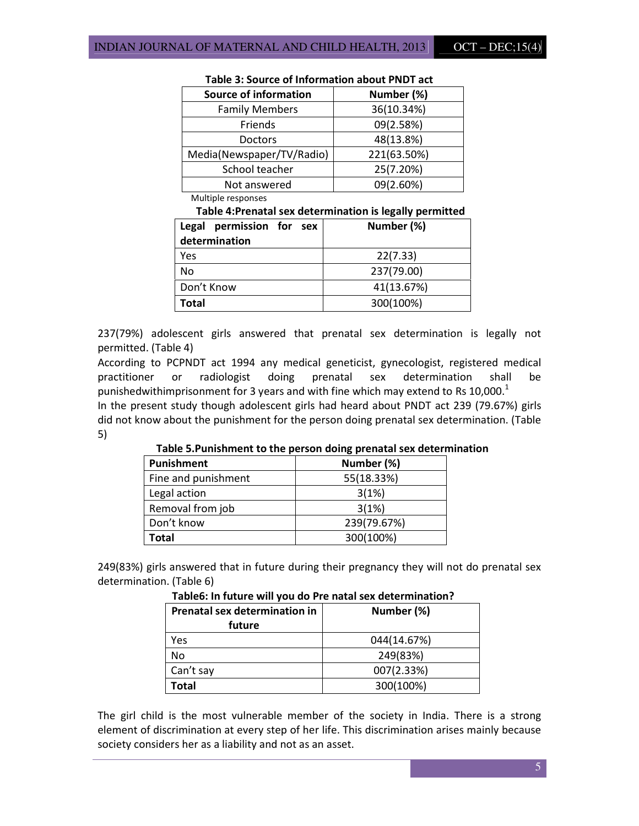| <b>Source of information</b> | Number (%)  |
|------------------------------|-------------|
| <b>Family Members</b>        | 36(10.34%)  |
| Friends                      | 09(2.58%)   |
| <b>Doctors</b>               | 48(13.8%)   |
| Media(Newspaper/TV/Radio)    | 221(63.50%) |
| School teacher               | 25(7.20%)   |
| Not answered                 | 09(2.60%)   |

#### Table 3: Source of Information about PNDT act

Multiple responses

### Table 4:Prenatal sex determination is legally permitted

| Legal permission for sex<br>determination | Number (%) |
|-------------------------------------------|------------|
| Yes                                       | 22(7.33)   |
| No                                        | 237(79.00) |
| Don't Know                                | 41(13.67%) |
| Total                                     | 300(100%)  |

237(79%) adolescent girls answered that prenatal sex determination is legally not permitted. (Table 4)

According to PCPNDT act 1994 any medical geneticist, gynecologist, registered medical practitioner or radiologist doing prenatal sex determination shall be punishedwithimprisonment for 3 years and with fine which may extend to Rs  $10,000$ .<sup>1</sup>

In the present study though adolescent girls had heard about PNDT act 239 (79.67%) girls did not know about the punishment for the person doing prenatal sex determination. (Table 5)

| <b>Punishment</b>   | Number (%)  |
|---------------------|-------------|
| Fine and punishment | 55(18.33%)  |
| Legal action        | 3(1%)       |
| Removal from job    | 3(1%)       |
| Don't know          | 239(79.67%) |
| Total               | 300(100%)   |

#### Table 5.Punishment to the person doing prenatal sex determination

249(83%) girls answered that in future during their pregnancy they will not do prenatal sex determination. (Table 6)

| Prenatal sex determination in<br>future | Number (%)  |
|-----------------------------------------|-------------|
| Yes                                     | 044(14.67%) |
| No                                      | 249(83%)    |
| Can't say                               | 007(2.33%)  |
| <b>Total</b>                            | 300(100%)   |

#### Table6: In future will you do Pre natal sex determination?

The girl child is the most vulnerable member of the society in India. There is a strong element of discrimination at every step of her life. This discrimination arises mainly because society considers her as a liability and not as an asset.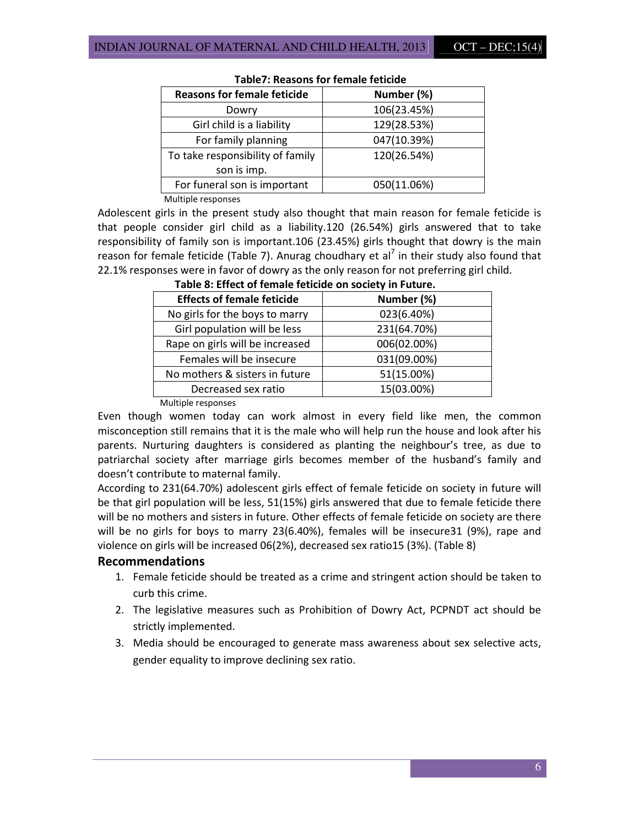| <b>Reasons for female feticide</b> | Number (%)  |
|------------------------------------|-------------|
| Dowry                              | 106(23.45%) |
| Girl child is a liability          | 129(28.53%) |
| For family planning                | 047(10.39%) |
| To take responsibility of family   | 120(26.54%) |
| son is imp.                        |             |
| For funeral son is important       | 050(11.06%) |
| Multiple responses                 |             |

#### Table7: Reasons for female feticide

Adolescent girls in the present study also thought that main reason for female feticide is

that people consider girl child as a liability.120 (26.54%) girls answered that to take responsibility of family son is important.106 (23.45%) girls thought that dowry is the main reason for female feticide (Table 7). Anurag choudhary et al<sup>7</sup> in their study also found that 22.1% responses were in favor of dowry as the only reason for not preferring girl child.

| <b>Effects of female feticide</b> | Number (%)  |
|-----------------------------------|-------------|
| No girls for the boys to marry    | 023(6.40%)  |
| Girl population will be less      | 231(64.70%) |
| Rape on girls will be increased   | 006(02.00%) |
| Females will be insecure          | 031(09.00%) |
| No mothers & sisters in future    | 51(15.00%)  |
| Decreased sex ratio               | 15(03.00%)  |
|                                   |             |

Table 8: Effect of female feticide on society in Future.

Multiple responses

Even though women today can work almost in every field like men, the common misconception still remains that it is the male who will help run the house and look after his parents. Nurturing daughters is considered as planting the neighbour's tree, as due to patriarchal society after marriage girls becomes member of the husband's family and doesn't contribute to maternal family.

According to 231(64.70%) adolescent girls effect of female feticide on society in future will be that girl population will be less, 51(15%) girls answered that due to female feticide there will be no mothers and sisters in future. Other effects of female feticide on society are there will be no girls for boys to marry 23(6.40%), females will be insecure31 (9%), rape and violence on girls will be increased 06(2%), decreased sex ratio15 (3%). (Table 8)

#### Recommendations

- 1. Female feticide should be treated as a crime and stringent action should be taken to curb this crime.
- 2. The legislative measures such as Prohibition of Dowry Act, PCPNDT act should be strictly implemented.
- 3. Media should be encouraged to generate mass awareness about sex selective acts, gender equality to improve declining sex ratio.